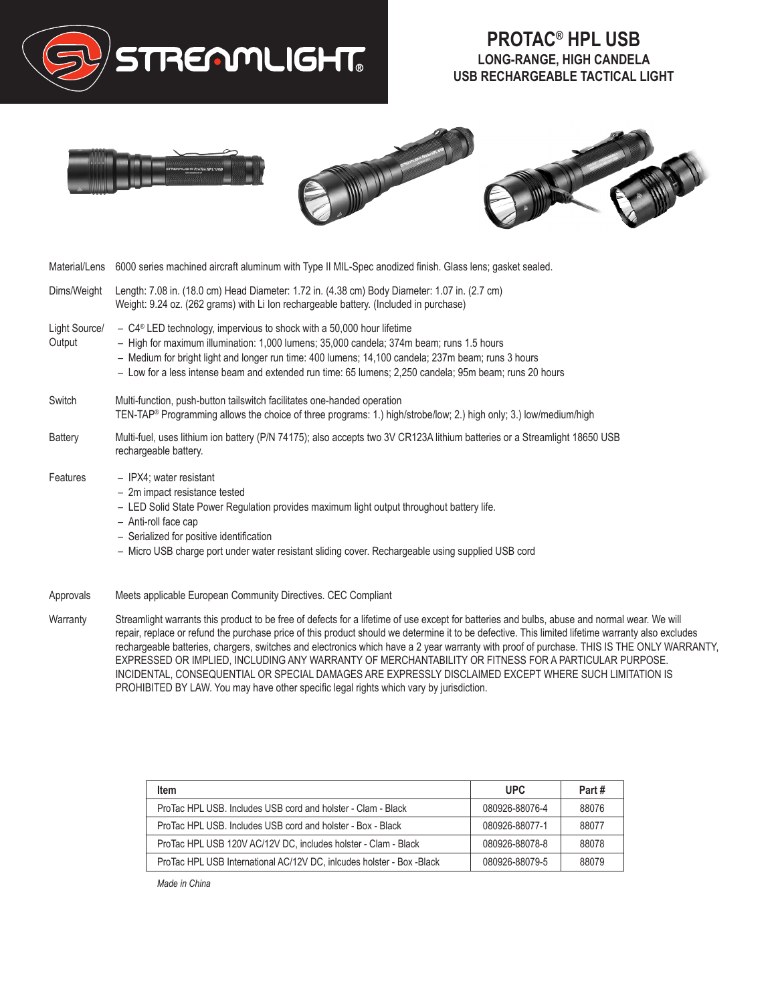

## **PROTAC® HPL USB LONG-RANGE, HIGH CANDELA USB RECHARGEABLE TACTICAL LIGHT**





| Material/Lens 6000 series machined aircraft aluminum with Type II MIL-Spec anodized finish. Glass lens; gasket sealed.                                                                                                                                                                                                                                                                          |
|-------------------------------------------------------------------------------------------------------------------------------------------------------------------------------------------------------------------------------------------------------------------------------------------------------------------------------------------------------------------------------------------------|
| Length: 7.08 in. (18.0 cm) Head Diameter: 1.72 in. (4.38 cm) Body Diameter: 1.07 in. (2.7 cm)<br>Weight: 9.24 oz. (262 grams) with Li Ion rechargeable battery. (Included in purchase)                                                                                                                                                                                                          |
| $-$ C4 <sup>®</sup> LED technology, impervious to shock with a 50,000 hour lifetime<br>- High for maximum illumination: 1,000 lumens; 35,000 candela; 374m beam; runs 1.5 hours<br>- Medium for bright light and longer run time: 400 lumens; 14,100 candela; 237m beam; runs 3 hours<br>- Low for a less intense beam and extended run time: 65 lumens; 2,250 candela; 95m beam; runs 20 hours |
| Multi-function, push-button tailswitch facilitates one-handed operation<br>TEN-TAP® Programming allows the choice of three programs: 1.) high/strobe/low; 2.) high only; 3.) low/medium/high                                                                                                                                                                                                    |
| Multi-fuel, uses lithium ion battery (P/N 74175); also accepts two 3V CR123A lithium batteries or a Streamlight 18650 USB<br>rechargeable battery.                                                                                                                                                                                                                                              |
| - IPX4; water resistant<br>- 2m impact resistance tested<br>- LED Solid State Power Regulation provides maximum light output throughout battery life.<br>- Anti-roll face cap<br>- Serialized for positive identification<br>- Micro USB charge port under water resistant sliding cover. Rechargeable using supplied USB cord                                                                  |
|                                                                                                                                                                                                                                                                                                                                                                                                 |

Approvals Meets applicable European Community Directives. CEC Compliant

Warranty Streamlight warrants this product to be free of defects for a lifetime of use except for batteries and bulbs, abuse and normal wear. We will repair, replace or refund the purchase price of this product should we determine it to be defective. This limited lifetime warranty also excludes rechargeable batteries, chargers, switches and electronics which have a 2 year warranty with proof of purchase. THIS IS THE ONLY WARRANTY, EXPRESSED OR IMPLIED, INCLUDING ANY WARRANTY OF MERCHANTABILITY OR FITNESS FOR A PARTICULAR PURPOSE. INCIDENTAL, CONSEQUENTIAL OR SPECIAL DAMAGES ARE EXPRESSLY DISCLAIMED EXCEPT WHERE SUCH LIMITATION IS PROHIBITED BY LAW. You may have other specific legal rights which vary by jurisdiction.

| <b>Item</b>                                                           | <b>UPC</b>     | Part# |
|-----------------------------------------------------------------------|----------------|-------|
| ProTac HPL USB, Includes USB cord and holster - Clam - Black          | 080926-88076-4 | 88076 |
| ProTac HPL USB, Includes USB cord and holster - Box - Black           | 080926-88077-1 | 88077 |
| ProTac HPL USB 120V AC/12V DC, includes holster - Clam - Black        | 080926-88078-8 | 88078 |
| ProTac HPL USB International AC/12V DC, inlcudes holster - Box -Black | 080926-88079-5 | 88079 |

*Made in China*